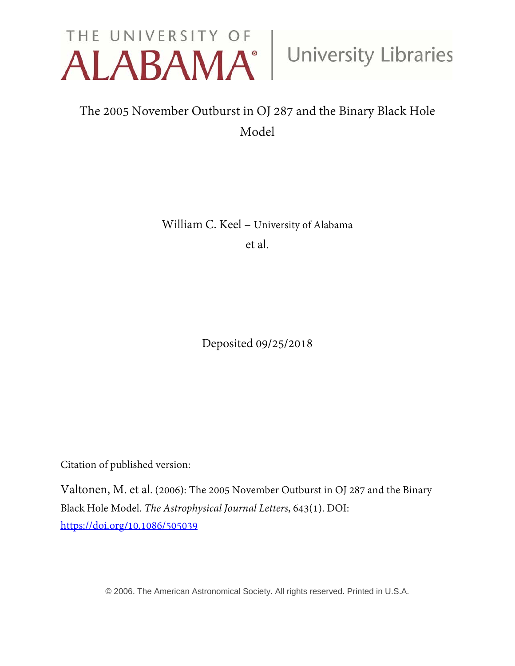

# The 2005 November Outburst in OJ 287 and the Binary Black Hole Model

William C. Keel – University of Alabama et al.

Deposited 09/25/2018

Citation of published version:

Valtonen, M. et al. (2006): The 2005 November Outburst in OJ 287 and the Binary Black Hole Model. *The Astrophysical Journal Letters*, 643(1). DOI: https://doi.org/[10.1086/505039](https://doi.org/10.1086/505039)

© 2006. The American Astronomical Society. All rights reserved. Printed in U.S.A.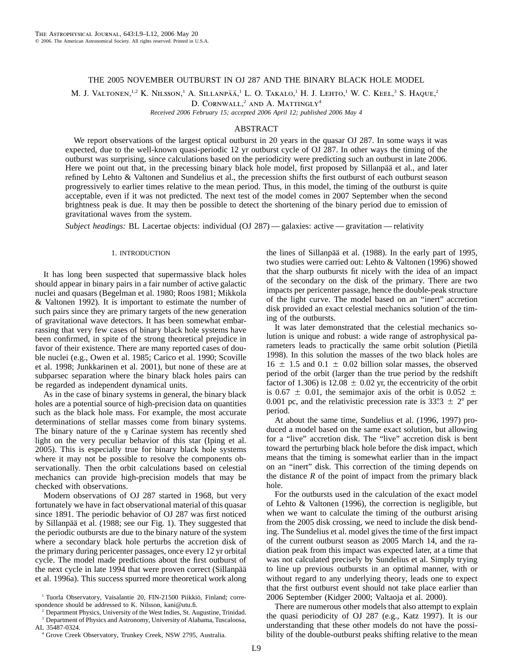## THE 2005 NOVEMBER OUTBURST IN OJ 287 AND THE BINARY BLACK HOLE MODEL

M. J. VALTONEN,<sup>1,2</sup> K. NILSSON,<sup>1</sup> A. SILLANPÄÄ,<sup>1</sup> L. O. TAKALO,<sup>1</sup> H. J. LEHTO,<sup>1</sup> W. C. KEEL,<sup>3</sup> S. HAQUE,<sup>2</sup>

D. CORNWALL,<sup>2</sup> AND A. MATTINGLY<sup>4</sup>

*Received 2006 February 15; accepted 2006 April 12; published 2006 May 4*

# ABSTRACT

We report observations of the largest optical outburst in 20 years in the quasar OJ 287. In some ways it was expected, due to the well-known quasi-periodic 12 yr outburst cycle of OJ 287. In other ways the timing of the outburst was surprising, since calculations based on the periodicity were predicting such an outburst in late 2006. Here we point out that, in the precessing binary black hole model, first proposed by Sillanpää et al., and later refined by Lehto & Valtonen and Sundelius et al., the precession shifts the first outburst of each outburst season progressively to earlier times relative to the mean period. Thus, in this model, the timing of the outburst is quite acceptable, even if it was not predicted. The next test of the model comes in 2007 September when the second brightness peak is due. It may then be possible to detect the shortening of the binary period due to emission of gravitational waves from the system.

*Subject headings:* BL Lacertae objects: individual (OJ 287) — galaxies: active — gravitation — relativity

## 1. INTRODUCTION

It has long been suspected that supermassive black holes should appear in binary pairs in a fair number of active galactic nuclei and quasars (Begelman et al. 1980; Roos 1981; Mikkola & Valtonen 1992). It is important to estimate the number of such pairs since they are primary targets of the new generation of gravitational wave detectors. It has been somewhat embarrassing that very few cases of binary black hole systems have been confirmed, in spite of the strong theoretical prejudice in favor of their existence. There are many reported cases of double nuclei (e.g., Owen et al. 1985; Carico et al. 1990; Scoville et al. 1998; Junkkarinen et al. 2001), but none of these are at subparsec separation where the binary black holes pairs can be regarded as independent dynamical units.

As in the case of binary systems in general, the binary black holes are a potential source of high-precision data on quantities such as the black hole mass. For example, the most accurate determinations of stellar masses come from binary systems. The binary nature of the  $\eta$  Carinae system has recently shed light on the very peculiar behavior of this star (Iping et al. 2005). This is especially true for binary black hole systems where it may not be possible to resolve the components observationally. Then the orbit calculations based on celestial mechanics can provide high-precision models that may be checked with observations.

Modern observations of OJ 287 started in 1968, but very fortunately we have in fact observational material of this quasar since 1891. The periodic behavior of OJ 287 was first noticed by Sillanpää et al. (1988; see our Fig. 1). They suggested that the periodic outbursts are due to the binary nature of the system where a secondary black hole perturbs the accretion disk of the primary during pericenter passages, once every 12 yr orbital cycle. The model made predictions about the first outburst of the next cycle in late 1994 that were proven correct (Sillanpää et al. 1996a). This success spurred more theoretical work along

 $2^2$  Department Physics, University of the West Indies, St. Augustine, Trinidad. <sup>3</sup> Department of Physics and Astronomy, University of Alabama, Tuscaloosa, AL 35487-0324.

<sup>4</sup> Grove Creek Observatory, Trunkey Creek, NSW 2795, Australia.

the lines of Sillanpää et al. (1988). In the early part of 1995, two studies were carried out: Lehto & Valtonen (1996) showed that the sharp outbursts fit nicely with the idea of an impact of the secondary on the disk of the primary. There are two impacts per pericenter passage, hence the double-peak structure of the light curve. The model based on an "inert" accretion disk provided an exact celestial mechanics solution of the timing of the outbursts.

It was later demonstrated that the celestial mechanics solution is unique and robust: a wide range of astrophysical parameters leads to practically the same orbit solution (Pietilä 1998). In this solution the masses of the two black holes are  $16 \pm 1.5$  and  $0.1 \pm 0.02$  billion solar masses, the observed period of the orbit (larger than the true period by the redshift factor of 1.306) is 12.08  $\pm$  0.02 yr, the eccentricity of the orbit is 0.67  $\pm$  0.01, the semimajor axis of the orbit is 0.052  $\pm$ 0.001 pc, and the relativistic precession rate is  $33^\circ \cdot 3 \pm 2^\circ$  per period.

At about the same time, Sundelius et al. (1996, 1997) produced a model based on the same exact solution, but allowing for a "live" accretion disk. The "live" accretion disk is bent toward the perturbing black hole before the disk impact, which means that the timing is somewhat earlier than in the impact on an "inert" disk. This correction of the timing depends on the distance  $R$  of the point of impact from the primary black hole.

For the outbursts used in the calculation of the exact model of Lehto & Valtonen (1996), the correction is negligible, but when we want to calculate the timing of the outburst arising from the 2005 disk crossing, we need to include the disk bending. The Sundelius et al. model gives the time of the first impact of the current outburst season as 2005 March 14, and the radiation peak from this impact was expected later, at a time that was not calculated precisely by Sundelius et al. Simply trying to line up previous outbursts in an optimal manner, with or without regard to any underlying theory, leads one to expect that the first outburst event should not take place earlier than 2006 September (Kidger 2000; Valtaoja et al. 2000).

There are numerous other models that also attempt to explain the quasi periodicity of OJ 287 (e.g., Katz 1997). It is our understanding that these other models do not have the possibility of the double-outburst peaks shifting relative to the mean

<sup>&</sup>lt;sup>1</sup> Tuorla Observatory, Vaisalantie 20, FIN-21500 Piikkiö, Finland; correspondence should be addressed to K. Nilsson, kani@utu.fi.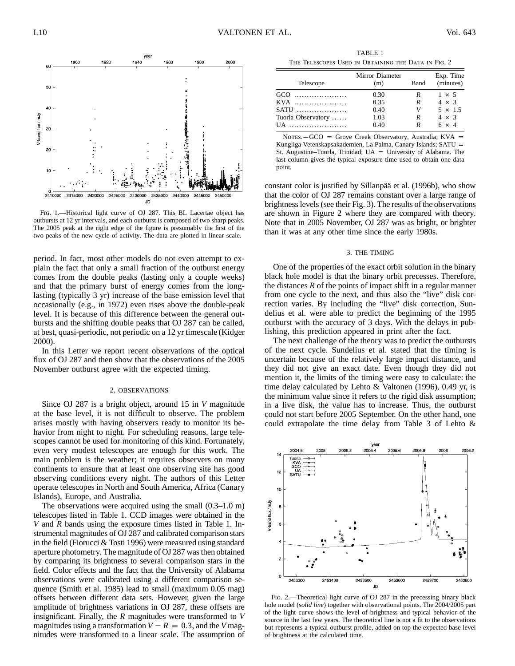1900 1920 1940 1960 1980 2000 <sup>60</sup> 50  $\begin{pmatrix} 40 \\ 25 \end{pmatrix}$ .ii 30 t <sup>j</sup>.h -~  $20~\frac{1}{2}$ ,  $\frac{1}{2}$ ,  $\frac{1}{2}$ ,  $\frac{1}{2}$ ,  $\frac{1}{2}$ ,  $\frac{1}{2}$ ,  $\frac{1}{2}$ ,  $\frac{1}{2}$ ,  $\frac{1}{2}$ ,  $\frac{1}{2}$ ,  $\frac{1}{2}$ ,  $\frac{1}{2}$ ,  $\frac{1}{2}$ ,  $\frac{1}{2}$ ,  $\frac{1}{2}$ ,  $\frac{1}{2}$ ,  $\frac{1}{2}$ ,  $\frac{1}{2}$ ,  $\frac{1}{2}$ ,  $\frac{1}{2}$ *;:.* ; I <sup>10</sup>. .: 1-. : :; *:* ·:··.i, **L** r.•. ~ .. , *::* .•i *.:•:·* **1t•"·** • '!• ·= ! : ,, 2410000 2410000 2415000 2420000 2425000 2430000 2435000 2440000 2445000 2450000 JD

**year** 

Fig. 1.—Historical light curve of OJ 287. This BL Lacertae object has outbursts at 12 yr intervals, and each outburst is composed of two sharp peaks. The 2005 peak at the right edge of the figure is presumably the first of the two peaks of the new cycle of activity. The data are plotted in linear scale.

period. In fact, most other models do not even attempt to explain the fact that only a small fraction of the outburst energy comes from the double peaks (lasting only a couple weeks) and that the primary burst of energy comes from the longlasting (typically 3 yr) increase of the base emission level that occasionally (e.g., in 1972) even rises above the double-peak level. It is because of this difference between the general outbursts and the shifting double peaks that OJ 287 can be called, at best, quasi-periodic, not periodic on a 12 yr timescale (Kidger 2000).

In this Letter we report recent observations of the optical flux of OJ 287 and then show that the observations of the 2005 November outburst agree with the expected timing.

#### 2. OBSERVATIONS

Since OJ 287 is a bright object, around 15 in *V* magnitude at the base level, it is not difficult to observe. The problem arises mostly with having observers ready to monitor its behavior from night to night. For scheduling reasons, large telescopes cannot be used for monitoring of this kind. Fortunately, even very modest telescopes are enough for this work. The main problem is the weather; it requires observers on many continents to ensure that at least one observing site has good observing conditions every night. The authors of this Letter operate telescopes in North and South America, Africa (Canary Islands), Europe, and Australia.

The observations were acquired using the small (0.3–1.0 m) telescopes listed in Table 1. CCD images were obtained in the *V* and *R* bands using the exposure times listed in Table 1. Instrumental magnitudes of OJ 287 and calibrated comparison stars in the field (Fiorucci & Tosti 1996) were measured using standard aperture photometry. The magnitude of OJ 287 was then obtained by comparing its brightness to several comparison stars in the field. Color effects and the fact that the University of Alabama observations were calibrated using a different comparison sequence (Smith et al. 1985) lead to small (maximum 0.05 mag) offsets between different data sets. However, given the large amplitude of brightness variations in OJ 287, these offsets are insignificant. Finally, the *R* magnitudes were transformed to *V* magnitudes using a transformation  $V - R = 0.3$ , and the *V* magnitudes were transformed to a linear scale. The assumption of

TABLE 1 The Telescopes Used in Obtaining the Data in Fig. 2

| Telescope          | Mirror Diameter<br>(m) | Band | Exp. Time<br>(minutes) |
|--------------------|------------------------|------|------------------------|
| GCO                | 0.30                   | R    | $1 \times 5$           |
| KVA                | 0.35                   | R    | $4 \times 3$           |
| $SATU$             | 0.40                   | V    | $5 \times 1.5$         |
| Tuorla Observatory | 1.03                   | R    | $4 \times 3$           |
| UA                 | 0.40                   | R    | $6 \times 4$           |

NOTES. $-GCO =$  Grove Creek Observatory, Australia; KVA = Kungliga Vetenskapsakademien, La Palma, Canary Islands; SATU p St. Augustine–Tuorla, Trinidad;  $UA =$  University of Alabama. The last column gives the typical exposure time used to obtain one data point.

constant color is justified by Sillanpää et al. (1996b), who show that the color of OJ 287 remains constant over a large range of brightness levels (see their Fig. 3). The results of the observations are shown in Figure 2 where they are compared with theory. Note that in 2005 November, OJ 287 was as bright, or brighter than it was at any other time since the early 1980s.

#### 3. THE TIMING

One of the properties of the exact orbit solution in the binary black hole model is that the binary orbit precesses. Therefore, the distances *R* of the points of impact shift in a regular manner from one cycle to the next, and thus also the "live" disk correction varies. By including the "live" disk correction, Sundelius et al. were able to predict the beginning of the 1995 outburst with the accuracy of 3 days. With the delays in publishing, this prediction appeared in print after the fact.

The next challenge of the theory was to predict the outbursts of the next cycle. Sundelius et al. stated that the timing is uncertain because of the relatively large impact distance, and they did not give an exact date. Even though they did not mention it, the limits of the timing were easy to calculate: the time delay calculated by Lehto & Valtonen (1996), 0.49 yr, is the minimum value since it refers to the rigid disk assumption; in a live disk, the value has to increase. Thus, the outburst could not start before 2005 September. On the other hand, one could extrapolate the time delay from Table 3 of Lehto &



FIG. 2.—Theoretical light curve of OJ 287 in the precessing binary black hole model (*solid line*) together with observational points. The 2004/2005 part of the light curve shows the level of brightness and typical behavior of the source in the last few years. The theoretical line is not a fit to the observations but represents a typical outburst profile, added on top the expected base level of brightness at the calculated time.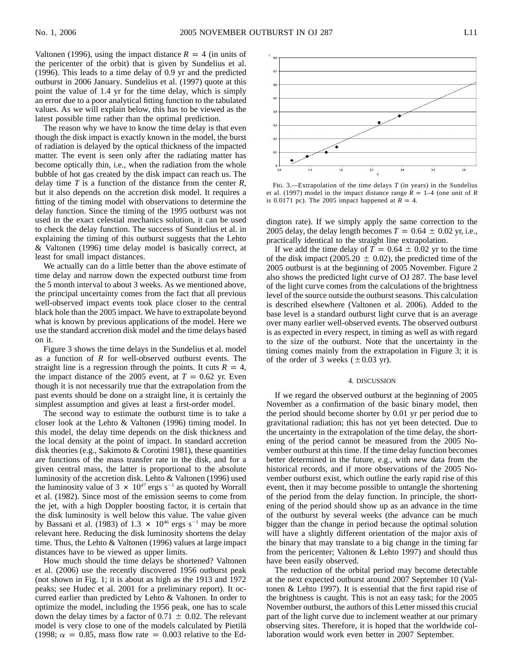Valtonen (1996), using the impact distance  $R = 4$  (in units of the pericenter of the orbit) that is given by Sundelius et al. (1996). This leads to a time delay of 0.9 yr and the predicted outburst in 2006 January. Sundelius et al. (1997) quote at this point the value of 1.4 yr for the time delay, which is simply an error due to a poor analytical fitting function to the tabulated values. As we will explain below, this has to be viewed as the latest possible time rather than the optimal prediction.

The reason why we have to know the time delay is that even though the disk impact is exactly known in the model, the burst of radiation is delayed by the optical thickness of the impacted matter. The event is seen only after the radiating matter has become optically thin, i.e., when the radiation from the whole bubble of hot gas created by the disk impact can reach us. The delay time *T* is a function of the distance from the center *R*, but it also depends on the accretion disk model. It requires a fitting of the timing model with observations to determine the delay function. Since the timing of the 1995 outburst was not used in the exact celestial mechanics solution, it can be used to check the delay function. The success of Sundelius et al. in explaining the timing of this outburst suggests that the Lehto & Valtonen (1996) time delay model is basically correct, at least for small impact distances.

We actually can do a little better than the above estimate of time delay and narrow down the expected outburst time from the 5 month interval to about 3 weeks. As we mentioned above, the principal uncertainty comes from the fact that all previous well-observed impact events took place closer to the central black hole than the 2005 impact. We have to extrapolate beyond what is known by previous applications of the model. Here we use the standard accretion disk model and the time delays based on it.

Figure 3 shows the time delays in the Sundelius et al. model as a function of *R* for well-observed outburst events. The straight line is a regression through the points. It cuts  $R = 4$ , the impact distance of the 2005 event, at  $T = 0.62$  yr. Even though it is not necessarily true that the extrapolation from the past events should be done on a straight line, it is certainly the simplest assumption and gives at least a first-order model.

The second way to estimate the outburst time is to take a closer look at the Lehto & Valtonen (1996) timing model. In this model, the delay time depends on the disk thickness and the local density at the point of impact. In standard accretion disk theories (e.g., Sakimoto & Corotini 1981), these quantities are functions of the mass transfer rate in the disk, and for a given central mass, the latter is proportional to the absolute luminosity of the accretion disk. Lehto & Valtonen (1996) used the luminosity value of 3  $\times$  10<sup>47</sup> ergs s<sup>-1</sup> as quoted by Worrall et al. (1982). Since most of the emission seems to come from the jet, with a high Doppler boosting factor, it is certain that the disk luminosity is well below this value. The value given by Bassani et al. (1983) of 1.3  $\times$  10<sup>46</sup> ergs s<sup>-1</sup> may be more relevant here. Reducing the disk luminosity shortens the delay time. Thus, the Lehto & Valtonen (1996) values at large impact distances have to be viewed as upper limits.

How much should the time delays be shortened? Valtonen et al. (2006) use the recently discovered 1956 outburst peak (not shown in Fig. 1; it is about as high as the 1913 and 1972 peaks; see Hudec et al. 2001 for a preliminary report). It occurred earlier than predicted by Lehto & Valtonen. In order to optimize the model, including the 1956 peak, one has to scale down the delay times by a factor of  $0.71 \pm 0.02$ . The relevant model is very close to one of the models calculated by Pietilä (1998;  $\alpha = 0.85$ , mass flow rate = 0.003 relative to the Ed-



Fig. 3.—Extrapolation of the time delays *T* (in years) in the Sundelius et al. (1997) model in the impact distance range  $\overline{R} = 1-4$  (one unit of  $\overline{R}$ is 0.0171 pc). The 2005 impact happened at  $R = 4$ .

dington rate). If we simply apply the same correction to the 2005 delay, the delay length becomes  $T = 0.64 \pm 0.02$  yr, i.e., practically identical to the straight line extrapolation.

If we add the time delay of  $\overline{T} = 0.64 \pm 0.02$  yr to the time of the disk impact (2005.20  $\pm$  0.02), the predicted time of the 2005 outburst is at the beginning of 2005 November. Figure 2 also shows the predicted light curve of OJ 287. The base level of the light curve comes from the calculations of the brightness level of the source outside the outburst seasons. This calculation is described elsewhere (Valtonen et al. 2006). Added to the base level is a standard outburst light curve that is an average over many earlier well-observed events. The observed outburst is as expected in every respect, in timing as well as with regard to the size of the outburst. Note that the uncertainty in the timing comes mainly from the extrapolation in Figure 3; it is of the order of 3 weeks  $(\pm 0.03 \text{ yr})$ .

#### 4. DISCUSSION

If we regard the observed outburst at the beginning of 2005 November as a confirmation of the basic binary model, then the period should become shorter by 0.01 yr per period due to gravitational radiation; this has not yet been detected. Due to the uncertainty in the extrapolation of the time delay, the shortening of the period cannot be measured from the 2005 November outburst at this time. If the time delay function becomes better determined in the future, e.g., with new data from the historical records, and if more observations of the 2005 November outburst exist, which outline the early rapid rise of this event, then it may become possible to untangle the shortening of the period from the delay function. In principle, the shortening of the period should show up as an advance in the time of the outburst by several weeks (the advance can be much bigger than the change in period because the optimal solution will have a slightly different orientation of the major axis of the binary that may translate to a big change in the timing far from the pericenter; Valtonen & Lehto 1997) and should thus have been easily observed.

The reduction of the orbital period may become detectable at the next expected outburst around 2007 September 10 (Valtonen & Lehto 1997). It is essential that the first rapid rise of the brightness is caught. This is not an easy task; for the 2005 November outburst, the authors of this Letter missed this crucial part of the light curve due to inclement weather at our primary observing sites. Therefore, it is hoped that the worldwide collaboration would work even better in 2007 September.